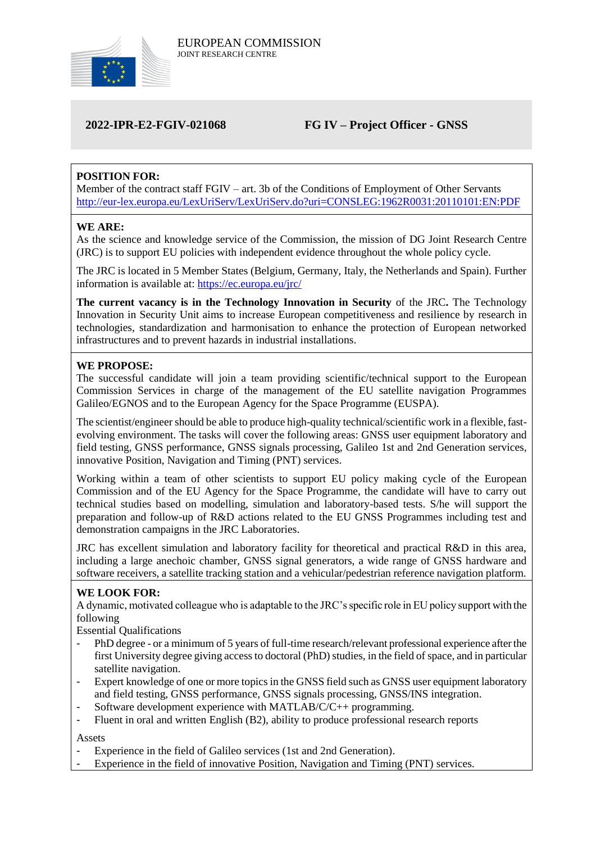

# **2022-IPR-E2-FGIV-021068 FG IV – Project Officer - GNSS**

## **POSITION FOR:**

Member of the contract staff FGIV – art. 3b of the Conditions of Employment of Other Servants <http://eur-lex.europa.eu/LexUriServ/LexUriServ.do?uri=CONSLEG:1962R0031:20110101:EN:PDF>

#### **WE ARE:**

As the science and knowledge service of the Commission, the mission of DG Joint Research Centre (JRC) is to support EU policies with independent evidence throughout the whole policy cycle.

The JRC is located in 5 Member States (Belgium, Germany, Italy, the Netherlands and Spain). Further information is available at: <https://ec.europa.eu/jrc/>

**The current vacancy is in the Technology Innovation in Security** of the JRC**.** The Technology Innovation in Security Unit aims to increase European competitiveness and resilience by research in technologies, standardization and harmonisation to enhance the protection of European networked infrastructures and to prevent hazards in industrial installations.

#### **WE PROPOSE:**

The successful candidate will join a team providing scientific/technical support to the European Commission Services in charge of the management of the EU satellite navigation Programmes Galileo/EGNOS and to the European Agency for the Space Programme (EUSPA).

The scientist/engineer should be able to produce high-quality technical/scientific work in a flexible, fastevolving environment. The tasks will cover the following areas: GNSS user equipment laboratory and field testing, GNSS performance, GNSS signals processing, Galileo 1st and 2nd Generation services, innovative Position, Navigation and Timing (PNT) services.

Working within a team of other scientists to support EU policy making cycle of the European Commission and of the EU Agency for the Space Programme, the candidate will have to carry out technical studies based on modelling, simulation and laboratory-based tests. S/he will support the preparation and follow-up of R&D actions related to the EU GNSS Programmes including test and demonstration campaigns in the JRC Laboratories.

JRC has excellent simulation and laboratory facility for theoretical and practical R&D in this area, including a large anechoic chamber, GNSS signal generators, a wide range of GNSS hardware and software receivers, a satellite tracking station and a vehicular/pedestrian reference navigation platform.

### **WE LOOK FOR:**

A dynamic, motivated colleague who is adaptable to the JRC's specific role in EU policy support with the following

Essential Qualifications

- PhD degree or a minimum of 5 years of full-time research/relevant professional experience after the first University degree giving access to doctoral (PhD) studies, in the field of space, and in particular satellite navigation.
- Expert knowledge of one or more topics in the GNSS field such as GNSS user equipment laboratory and field testing, GNSS performance, GNSS signals processing, GNSS/INS integration.
- Software development experience with MATLAB/C/C++ programming.
- Fluent in oral and written English (B2), ability to produce professional research reports

Assets

- Experience in the field of Galileo services (1st and 2nd Generation).
- Experience in the field of innovative Position, Navigation and Timing (PNT) services.